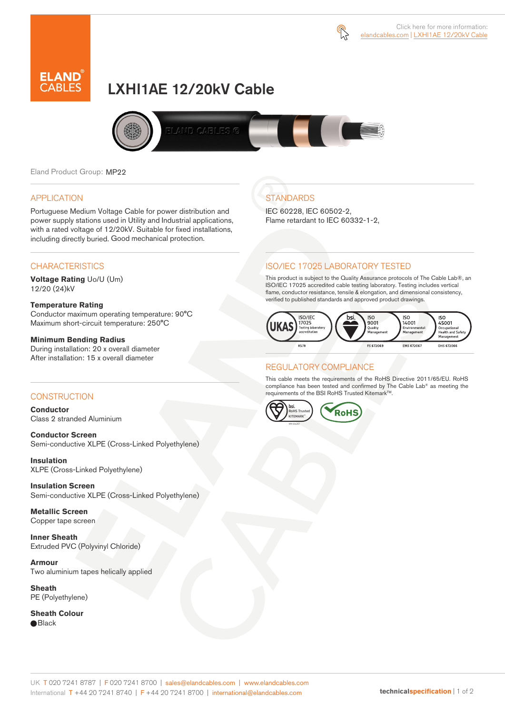



# LXHI1AE 12/20kV Cable



Eland Product Group: MP22

#### APPLICATION

Portuguese Medium Voltage Cable for power distribution and power supply stations used in Utility and Industrial applications, with a rated voltage of 12/20kV. Suitable for fixed installations, including directly buried. Good mechanical protection.

## **CHARACTERISTICS**

**Voltage Rating** Uo/U (Um) 12/20 (24)kV

#### **Temperature Rating**

Conductor maximum operating temperature: 90°C Maximum short-circuit temperature: 250°C

#### **Minimum Bending Radius**

During installation: 20 x overall diameter After installation: 15 x overall diameter

#### **CONSTRUCTION**

**Conductor**  Class 2 stranded Aluminium

**Conductor Screen** Semi-conductive XLPE (Cross-Linked Polyethylene)

**Insulation** XLPE (Cross-Linked Polyethylene)

**Insulation Screen** Semi-conductive XLPE (Cross-Linked Polyethylene)

**Metallic Screen**  Copper tape screen

**Inner Sheath** Extruded PVC (Polyvinyl Chloride)

**Armour** Two aluminium tapes helically applied

**Sheath** PE (Polyethylene)

**Sheath Colour**  ● Black

### **STANDARDS** IEC 60228, IEC 60502-2,

Flame retardant to IEC 60332-1-2,

## ISO/IEC 17025 LABORATORY TESTED

This product is subject to the Quality Assurance protocols of The Cable Lab®, an ISO/IEC 17025 accredited cable testing laboratory. Testing includes vertical flame, conductor resistance, tensile & elongation, and dimensional consistency, verified to published standards and approved product drawings.



#### REGULATORY COMPLIANCE

This cable meets the requirements of the RoHS Directive 2011/65/EU. RoHS compliance has been tested and confirmed by The Cable Lab® as meeting the requirements of the BSI RoHS Trusted Kitemark™.



#### UK T 020 7241 8787 | F 020 7241 8700 | sales@elandcables.com | www.elandcables.com International T +44 20 7241 8740 | F +44 20 7241 8700 | international@elandcables.com